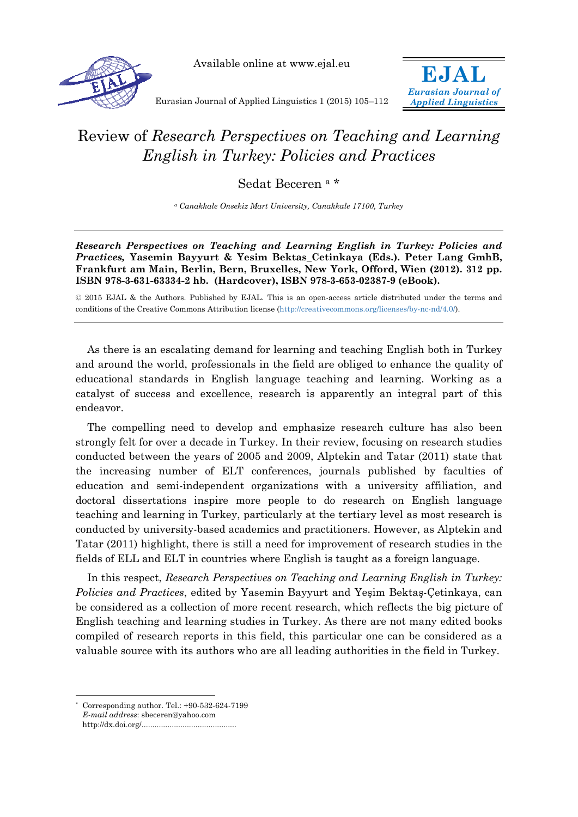



**EJAL**  *Eurasian Journal of Applied Linguistics*

Eurasian Journal of Applied Linguistics 1 (2015) 105–112

## Review of *Research Perspectives on Teaching and Learning English in Turkey: Policies and Practices*

Sedat Beceren a \*

*a Canakkale Onsekiz Mart University, Canakkale 17100, Turkey* 

*Research Perspectives on Teaching and Learning English in Turkey: Policies and Practices,* **Yasemin Bayyurt & Yesim Bektas\_Cetinkaya (Eds.). Peter Lang GmhB, Frankfurt am Main, Berlin, Bern, Bruxelles, New York, Offord, Wien (2012). 312 pp. ISBN 978-3-631-63334-2 hb. (Hardcover), ISBN 978-3-653-02387-9 (eBook).** 

© 2015 EJAL & the Authors. Published by EJAL. This is an open-access article distributed under the terms and conditions of the Creative Commons Attribution license (http://creativecommons.org/licenses/by-nc-nd/4.0/).

As there is an escalating demand for learning and teaching English both in Turkey and around the world, professionals in the field are obliged to enhance the quality of educational standards in English language teaching and learning. Working as a catalyst of success and excellence, research is apparently an integral part of this endeavor.

The compelling need to develop and emphasize research culture has also been strongly felt for over a decade in Turkey. In their review, focusing on research studies conducted between the years of 2005 and 2009, Alptekin and Tatar (2011) state that the increasing number of ELT conferences, journals published by faculties of education and semi-independent organizations with a university affiliation, and doctoral dissertations inspire more people to do research on English language teaching and learning in Turkey, particularly at the tertiary level as most research is conducted by university-based academics and practitioners. However, as Alptekin and Tatar (2011) highlight, there is still a need for improvement of research studies in the fields of ELL and ELT in countries where English is taught as a foreign language.

In this respect, *Research Perspectives on Teaching and Learning English in Turkey: Policies and Practices*, edited by Yasemin Bayyurt and Yeşim Bektaş-Çetinkaya, can be considered as a collection of more recent research, which reflects the big picture of English teaching and learning studies in Turkey. As there are not many edited books compiled of research reports in this field, this particular one can be considered as a valuable source with its authors who are all leading authorities in the field in Turkey.

 $\overline{a}$ 

Corresponding author. Tel.:  $+90-532-624-7199$ *E-mail address*: sbeceren@yahoo.com http://dx.doi.org/............................................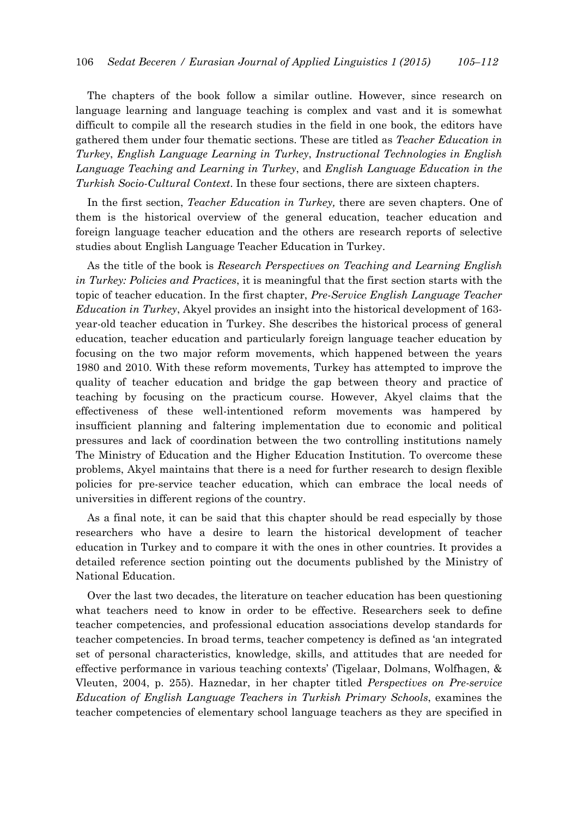The chapters of the book follow a similar outline. However, since research on language learning and language teaching is complex and vast and it is somewhat difficult to compile all the research studies in the field in one book, the editors have gathered them under four thematic sections. These are titled as *Teacher Education in Turkey*, *English Language Learning in Turkey*, *Instructional Technologies in English Language Teaching and Learning in Turkey*, and *English Language Education in the Turkish Socio-Cultural Context*. In these four sections, there are sixteen chapters.

In the first section, *Teacher Education in Turkey,* there are seven chapters. One of them is the historical overview of the general education, teacher education and foreign language teacher education and the others are research reports of selective studies about English Language Teacher Education in Turkey.

As the title of the book is *Research Perspectives on Teaching and Learning English in Turkey: Policies and Practices*, it is meaningful that the first section starts with the topic of teacher education. In the first chapter, *Pre-Service English Language Teacher Education in Turkey*, Akyel provides an insight into the historical development of 163 year-old teacher education in Turkey. She describes the historical process of general education, teacher education and particularly foreign language teacher education by focusing on the two major reform movements, which happened between the years 1980 and 2010. With these reform movements, Turkey has attempted to improve the quality of teacher education and bridge the gap between theory and practice of teaching by focusing on the practicum course. However, Akyel claims that the effectiveness of these well-intentioned reform movements was hampered by insufficient planning and faltering implementation due to economic and political pressures and lack of coordination between the two controlling institutions namely The Ministry of Education and the Higher Education Institution. To overcome these problems, Akyel maintains that there is a need for further research to design flexible policies for pre-service teacher education, which can embrace the local needs of universities in different regions of the country.

As a final note, it can be said that this chapter should be read especially by those researchers who have a desire to learn the historical development of teacher education in Turkey and to compare it with the ones in other countries. It provides a detailed reference section pointing out the documents published by the Ministry of National Education.

Over the last two decades, the literature on teacher education has been questioning what teachers need to know in order to be effective. Researchers seek to define teacher competencies, and professional education associations develop standards for teacher competencies. In broad terms, teacher competency is defined as 'an integrated set of personal characteristics, knowledge, skills, and attitudes that are needed for effective performance in various teaching contexts' (Tigelaar, Dolmans, Wolfhagen, & Vleuten, 2004, p. 255). Haznedar, in her chapter titled *Perspectives on Pre-service Education of English Language Teachers in Turkish Primary Schools*, examines the teacher competencies of elementary school language teachers as they are specified in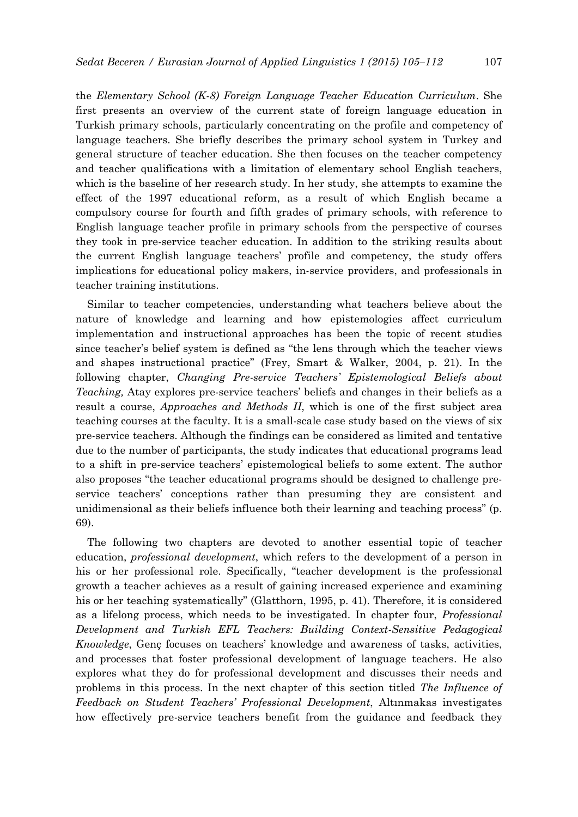the *Elementary School (K-8) Foreign Language Teacher Education Curriculum*. She first presents an overview of the current state of foreign language education in Turkish primary schools, particularly concentrating on the profile and competency of language teachers. She briefly describes the primary school system in Turkey and general structure of teacher education. She then focuses on the teacher competency and teacher qualifications with a limitation of elementary school English teachers, which is the baseline of her research study. In her study, she attempts to examine the effect of the 1997 educational reform, as a result of which English became a compulsory course for fourth and fifth grades of primary schools, with reference to English language teacher profile in primary schools from the perspective of courses they took in pre-service teacher education. In addition to the striking results about the current English language teachers' profile and competency, the study offers implications for educational policy makers, in-service providers, and professionals in teacher training institutions.

Similar to teacher competencies, understanding what teachers believe about the nature of knowledge and learning and how epistemologies affect curriculum implementation and instructional approaches has been the topic of recent studies since teacher's belief system is defined as "the lens through which the teacher views and shapes instructional practice" (Frey, Smart & Walker, 2004, p. 21). In the following chapter, *Changing Pre-service Teachers' Epistemological Beliefs about Teaching,* Atay explores pre-service teachers' beliefs and changes in their beliefs as a result a course, *Approaches and Methods II*, which is one of the first subject area teaching courses at the faculty. It is a small-scale case study based on the views of six pre-service teachers. Although the findings can be considered as limited and tentative due to the number of participants, the study indicates that educational programs lead to a shift in pre-service teachers' epistemological beliefs to some extent. The author also proposes "the teacher educational programs should be designed to challenge preservice teachers' conceptions rather than presuming they are consistent and unidimensional as their beliefs influence both their learning and teaching process" (p. 69).

The following two chapters are devoted to another essential topic of teacher education, *professional development*, which refers to the development of a person in his or her professional role. Specifically, "teacher development is the professional growth a teacher achieves as a result of gaining increased experience and examining his or her teaching systematically" (Glatthorn, 1995, p. 41). Therefore, it is considered as a lifelong process, which needs to be investigated. In chapter four, *Professional Development and Turkish EFL Teachers: Building Context-Sensitive Pedagogical Knowledge*, Genç focuses on teachers' knowledge and awareness of tasks, activities, and processes that foster professional development of language teachers. He also explores what they do for professional development and discusses their needs and problems in this process. In the next chapter of this section titled *The Influence of Feedback on Student Teachers' Professional Development*, Altınmakas investigates how effectively pre-service teachers benefit from the guidance and feedback they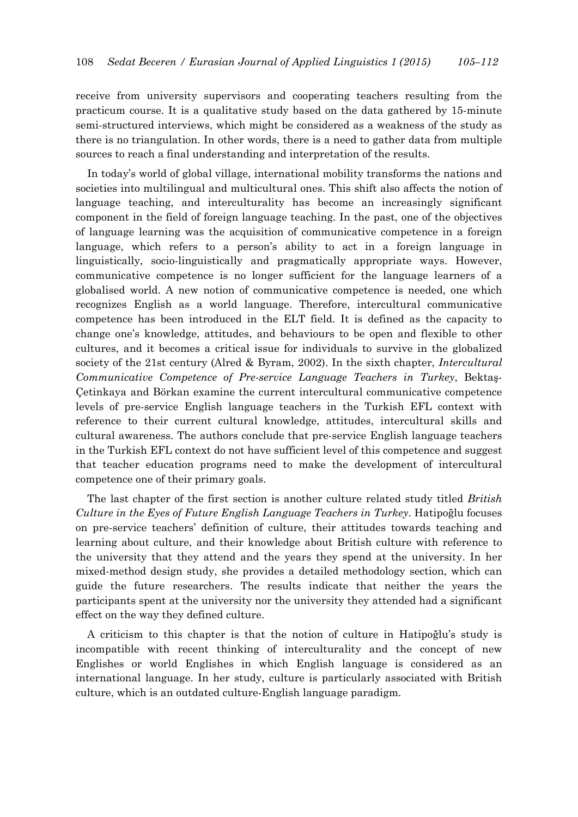receive from university supervisors and cooperating teachers resulting from the practicum course. It is a qualitative study based on the data gathered by 15-minute semi-structured interviews, which might be considered as a weakness of the study as there is no triangulation. In other words, there is a need to gather data from multiple sources to reach a final understanding and interpretation of the results.

In today's world of global village, international mobility transforms the nations and societies into multilingual and multicultural ones. This shift also affects the notion of language teaching, and interculturality has become an increasingly significant component in the field of foreign language teaching. In the past, one of the objectives of language learning was the acquisition of communicative competence in a foreign language, which refers to a person's ability to act in a foreign language in linguistically, socio-linguistically and pragmatically appropriate ways. However, communicative competence is no longer sufficient for the language learners of a globalised world. A new notion of communicative competence is needed, one which recognizes English as a world language. Therefore, intercultural communicative competence has been introduced in the ELT field. It is defined as the capacity to change one's knowledge, attitudes, and behaviours to be open and flexible to other cultures, and it becomes a critical issue for individuals to survive in the globalized society of the 21st century (Alred & Byram, 2002). In the sixth chapter, *Intercultural Communicative Competence of Pre-service Language Teachers in Turkey*, Bektaş-Çetinkaya and Börkan examine the current intercultural communicative competence levels of pre-service English language teachers in the Turkish EFL context with reference to their current cultural knowledge, attitudes, intercultural skills and cultural awareness. The authors conclude that pre-service English language teachers in the Turkish EFL context do not have sufficient level of this competence and suggest that teacher education programs need to make the development of intercultural competence one of their primary goals.

The last chapter of the first section is another culture related study titled *British Culture in the Eyes of Future English Language Teachers in Turkey*. Hatipoğlu focuses on pre-service teachers' definition of culture, their attitudes towards teaching and learning about culture, and their knowledge about British culture with reference to the university that they attend and the years they spend at the university. In her mixed-method design study, she provides a detailed methodology section, which can guide the future researchers. The results indicate that neither the years the participants spent at the university nor the university they attended had a significant effect on the way they defined culture.

A criticism to this chapter is that the notion of culture in Hatipoğlu's study is incompatible with recent thinking of interculturality and the concept of new Englishes or world Englishes in which English language is considered as an international language. In her study, culture is particularly associated with British culture, which is an outdated culture-English language paradigm.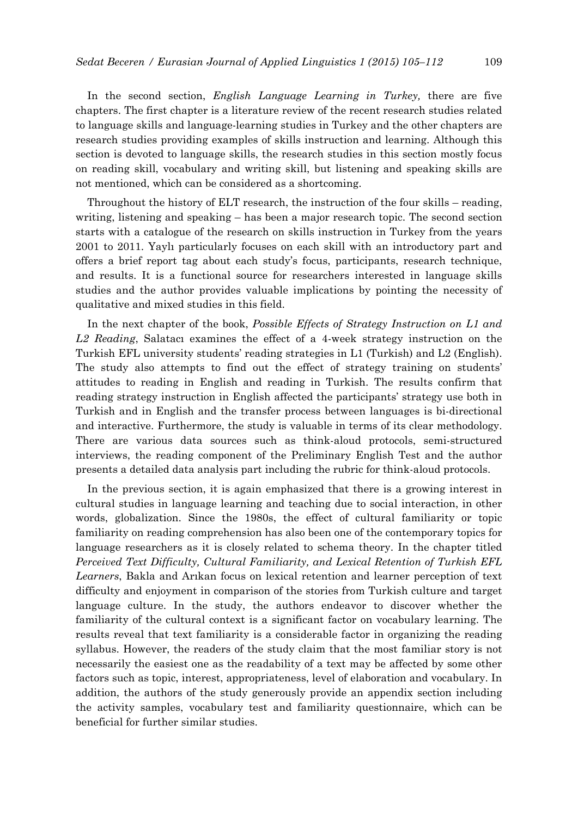In the second section, *English Language Learning in Turkey,* there are five chapters. The first chapter is a literature review of the recent research studies related to language skills and language-learning studies in Turkey and the other chapters are research studies providing examples of skills instruction and learning. Although this section is devoted to language skills, the research studies in this section mostly focus on reading skill, vocabulary and writing skill, but listening and speaking skills are not mentioned, which can be considered as a shortcoming.

Throughout the history of ELT research, the instruction of the four skills – reading, writing, listening and speaking – has been a major research topic. The second section starts with a catalogue of the research on skills instruction in Turkey from the years 2001 to 2011. Yaylı particularly focuses on each skill with an introductory part and offers a brief report tag about each study's focus, participants, research technique, and results. It is a functional source for researchers interested in language skills studies and the author provides valuable implications by pointing the necessity of qualitative and mixed studies in this field.

In the next chapter of the book, *Possible Effects of Strategy Instruction on L1 and L2 Reading*, Salatacı examines the effect of a 4-week strategy instruction on the Turkish EFL university students' reading strategies in L1 (Turkish) and L2 (English). The study also attempts to find out the effect of strategy training on students' attitudes to reading in English and reading in Turkish. The results confirm that reading strategy instruction in English affected the participants' strategy use both in Turkish and in English and the transfer process between languages is bi-directional and interactive. Furthermore, the study is valuable in terms of its clear methodology. There are various data sources such as think-aloud protocols, semi-structured interviews, the reading component of the Preliminary English Test and the author presents a detailed data analysis part including the rubric for think-aloud protocols.

In the previous section, it is again emphasized that there is a growing interest in cultural studies in language learning and teaching due to social interaction, in other words, globalization. Since the 1980s, the effect of cultural familiarity or topic familiarity on reading comprehension has also been one of the contemporary topics for language researchers as it is closely related to schema theory. In the chapter titled *Perceived Text Difficulty, Cultural Familiarity, and Lexical Retention of Turkish EFL Learners*, Bakla and Arıkan focus on lexical retention and learner perception of text difficulty and enjoyment in comparison of the stories from Turkish culture and target language culture. In the study, the authors endeavor to discover whether the familiarity of the cultural context is a significant factor on vocabulary learning. The results reveal that text familiarity is a considerable factor in organizing the reading syllabus. However, the readers of the study claim that the most familiar story is not necessarily the easiest one as the readability of a text may be affected by some other factors such as topic, interest, appropriateness, level of elaboration and vocabulary. In addition, the authors of the study generously provide an appendix section including the activity samples, vocabulary test and familiarity questionnaire, which can be beneficial for further similar studies.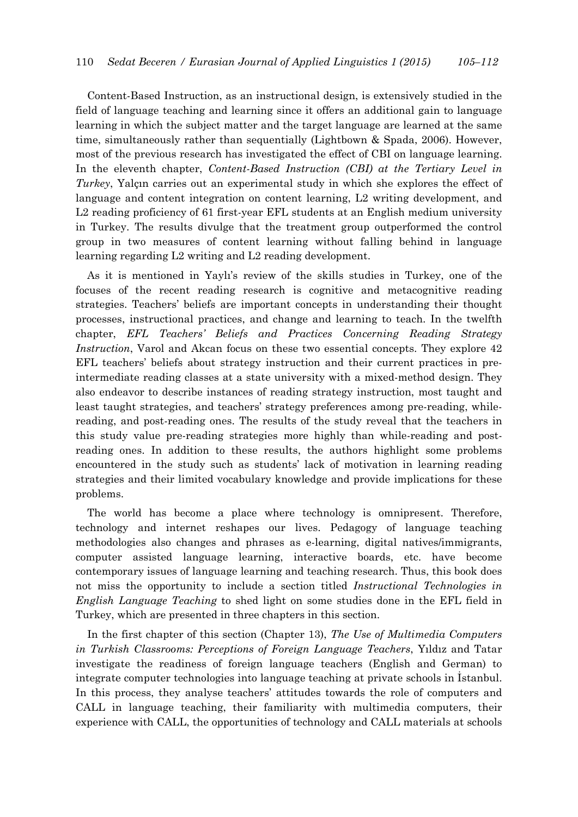Content-Based Instruction, as an instructional design, is extensively studied in the field of language teaching and learning since it offers an additional gain to language learning in which the subject matter and the target language are learned at the same time, simultaneously rather than sequentially (Lightbown & Spada, 2006). However, most of the previous research has investigated the effect of CBI on language learning. In the eleventh chapter, *Content-Based Instruction (CBI) at the Tertiary Level in Turkey*, Yalçın carries out an experimental study in which she explores the effect of language and content integration on content learning, L2 writing development, and L2 reading proficiency of 61 first-year EFL students at an English medium university in Turkey. The results divulge that the treatment group outperformed the control group in two measures of content learning without falling behind in language learning regarding L2 writing and L2 reading development.

As it is mentioned in Yaylı's review of the skills studies in Turkey, one of the focuses of the recent reading research is cognitive and metacognitive reading strategies. Teachers' beliefs are important concepts in understanding their thought processes, instructional practices, and change and learning to teach. In the twelfth chapter, *EFL Teachers' Beliefs and Practices Concerning Reading Strategy Instruction*, Varol and Akcan focus on these two essential concepts. They explore 42 EFL teachers' beliefs about strategy instruction and their current practices in preintermediate reading classes at a state university with a mixed-method design. They also endeavor to describe instances of reading strategy instruction, most taught and least taught strategies, and teachers' strategy preferences among pre-reading, whilereading, and post-reading ones. The results of the study reveal that the teachers in this study value pre-reading strategies more highly than while-reading and postreading ones. In addition to these results, the authors highlight some problems encountered in the study such as students' lack of motivation in learning reading strategies and their limited vocabulary knowledge and provide implications for these problems.

The world has become a place where technology is omnipresent. Therefore, technology and internet reshapes our lives. Pedagogy of language teaching methodologies also changes and phrases as e-learning, digital natives/immigrants, computer assisted language learning, interactive boards, etc. have become contemporary issues of language learning and teaching research. Thus, this book does not miss the opportunity to include a section titled *Instructional Technologies in English Language Teaching* to shed light on some studies done in the EFL field in Turkey, which are presented in three chapters in this section.

In the first chapter of this section (Chapter 13), *The Use of Multimedia Computers in Turkish Classrooms: Perceptions of Foreign Language Teachers*, Yıldız and Tatar investigate the readiness of foreign language teachers (English and German) to integrate computer technologies into language teaching at private schools in İstanbul. In this process, they analyse teachers' attitudes towards the role of computers and CALL in language teaching, their familiarity with multimedia computers, their experience with CALL, the opportunities of technology and CALL materials at schools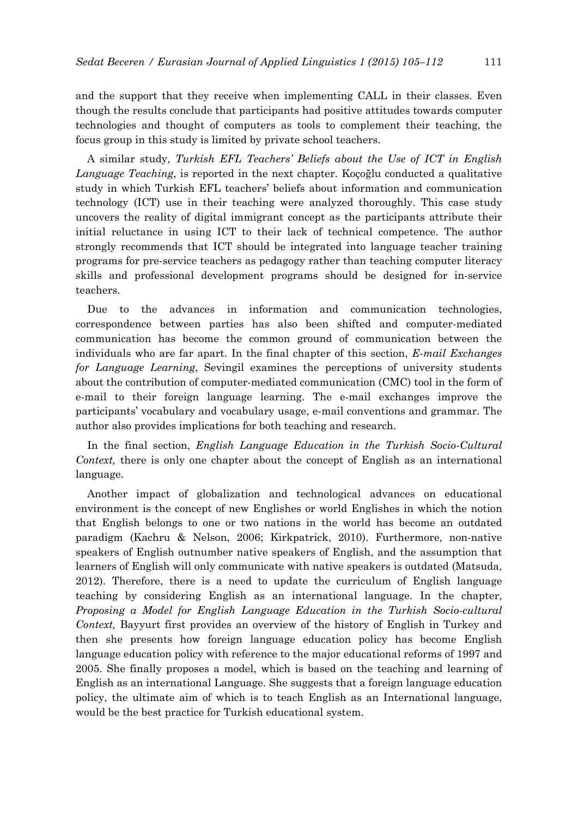and the support that they receive when implementing CALL in their classes. Even though the results conclude that participants had positive attitudes towards computer technologies and thought of computers as tools to complement their teaching, the focus group in this study is limited by private school teachers.

A similar study, *Turkish EFL Teachers' Beliefs about the Use of ICT in English Language Teaching*, is reported in the next chapter. Koçoğlu conducted a qualitative study in which Turkish EFL teachers' beliefs about information and communication technology (ICT) use in their teaching were analyzed thoroughly. This case study uncovers the reality of digital immigrant concept as the participants attribute their initial reluctance in using ICT to their lack of technical competence. The author strongly recommends that ICT should be integrated into language teacher training programs for pre-service teachers as pedagogy rather than teaching computer literacy skills and professional development programs should be designed for in-service teachers.

Due to the advances in information and communication technologies, correspondence between parties has also been shifted and computer-mediated communication has become the common ground of communication between the individuals who are far apart. In the final chapter of this section, *E-mail Exchanges for Language Learning*, Sevingil examines the perceptions of university students about the contribution of computer-mediated communication (CMC) tool in the form of e-mail to their foreign language learning. The e-mail exchanges improve the participants' vocabulary and vocabulary usage, e-mail conventions and grammar. The author also provides implications for both teaching and research.

In the final section, *English Language Education in the Turkish Socio-Cultural Context,* there is only one chapter about the concept of English as an international language.

Another impact of globalization and technological advances on educational environment is the concept of new Englishes or world Englishes in which the notion that English belongs to one or two nations in the world has become an outdated paradigm (Kachru & Nelson, 2006; Kirkpatrick, 2010). Furthermore, non-native speakers of English outnumber native speakers of English, and the assumption that learners of English will only communicate with native speakers is outdated (Matsuda, 2012). Therefore, there is a need to update the curriculum of English language teaching by considering English as an international language. In the chapter, *Proposing a Model for English Language Education in the Turkish Socio-cultural Context,* Bayyurt first provides an overview of the history of English in Turkey and then she presents how foreign language education policy has become English language education policy with reference to the major educational reforms of 1997 and 2005. She finally proposes a model, which is based on the teaching and learning of English as an international Language. She suggests that a foreign language education policy, the ultimate aim of which is to teach English as an International language, would be the best practice for Turkish educational system.